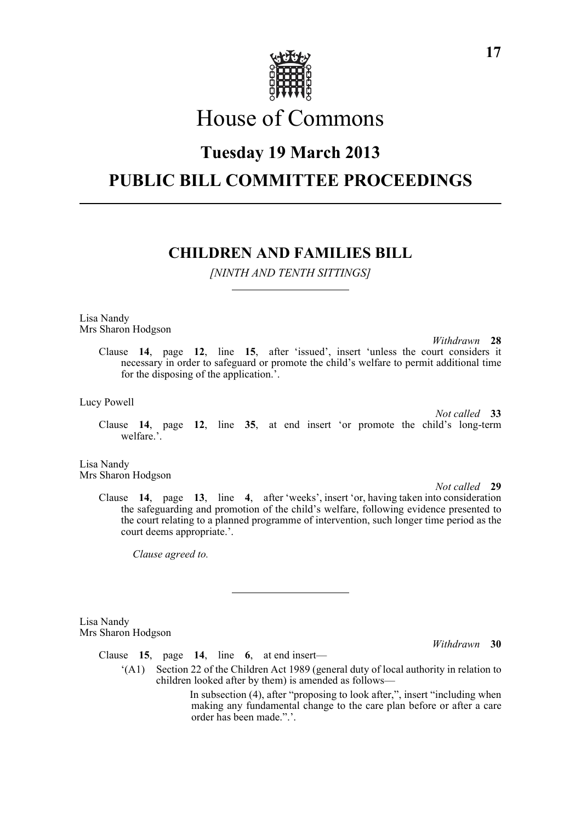

# House of Commons

## **Tuesday 19 March 2013**

## **PUBLIC BILL COMMITTEE PROCEEDINGS**

## **CHILDREN AND FAMILIES BILL**

*[NINTH AND TENTH SITTINGS]*

Lisa Nandy Mrs Sharon Hodgson

> *Withdrawn* **28** Clause **14**, page **12**, line **15**, after 'issued', insert 'unless the court considers it necessary in order to safeguard or promote the child's welfare to permit additional time for the disposing of the application.'.

Lucy Powell

Clause **14**, page **12**, line **35**, at end insert 'or promote the child's long-term welfare.'.

Lisa Nandy Mrs Sharon Hodgson

*Not called* **29**

*Not called* **33**

Clause **14**, page **13**, line **4**, after 'weeks', insert 'or, having taken into consideration the safeguarding and promotion of the child's welfare, following evidence presented to the court relating to a planned programme of intervention, such longer time period as the court deems appropriate.'.

*Clause agreed to.*

Lisa Nandy Mrs Sharon Hodgson

Clause **15**, page **14**, line **6**, at end insert—

'(A1) Section 22 of the Children Act 1989 (general duty of local authority in relation to children looked after by them) is amended as follows—

> In subsection (4), after "proposing to look after,", insert "including when making any fundamental change to the care plan before or after a care order has been made.".'.

*Withdrawn* **30**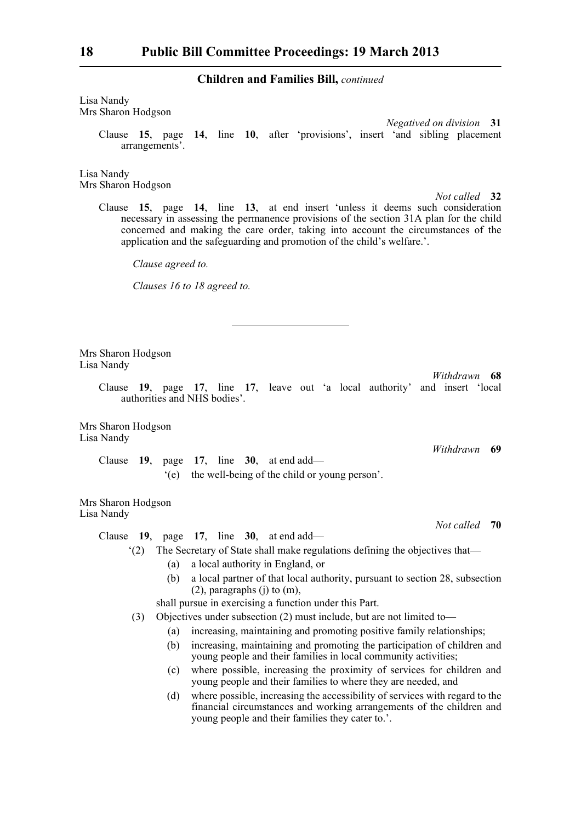Lisa Nandy Mrs Sharon Hodgson

> *Negatived on division* **31** Clause **15**, page **14**, line **10**, after 'provisions', insert 'and sibling placement arrangements'.

Lisa Nandy Mrs Sharon Hodgson

*Not called* **32**

Clause **15**, page **14**, line **13**, at end insert 'unless it deems such consideration necessary in assessing the permanence provisions of the section 31A plan for the child concerned and making the care order, taking into account the circumstances of the application and the safeguarding and promotion of the child's welfare.'.

*Clause agreed to.*

*Clauses 16 to 18 agreed to.*

Mrs Sharon Hodgson Lisa Nandy

> Clause **19**, page **17**, line **17**, leave out 'a local authority' and insert 'local authorities and NHS bodies'.

Mrs Sharon Hodgson Lisa Nandy

> Clause **19**, page **17**, line **30**, at end add— '(e) the well-being of the child or young person'.

Mrs Sharon Hodgson Lisa Nandy

*Not called* **70**

*Withdrawn* **68**

*Withdrawn* **69**

Clause **19**, page **17**, line **30**, at end add—

'(2) The Secretary of State shall make regulations defining the objectives that—

- (a) a local authority in England, or
- (b) a local partner of that local authority, pursuant to section 28, subsection (2), paragraphs (j) to (m),

shall pursue in exercising a function under this Part.

(3) Objectives under subsection (2) must include, but are not limited to—

- (a) increasing, maintaining and promoting positive family relationships;
- (b) increasing, maintaining and promoting the participation of children and young people and their families in local community activities;
- (c) where possible, increasing the proximity of services for children and young people and their families to where they are needed, and
- (d) where possible, increasing the accessibility of services with regard to the financial circumstances and working arrangements of the children and young people and their families they cater to.'.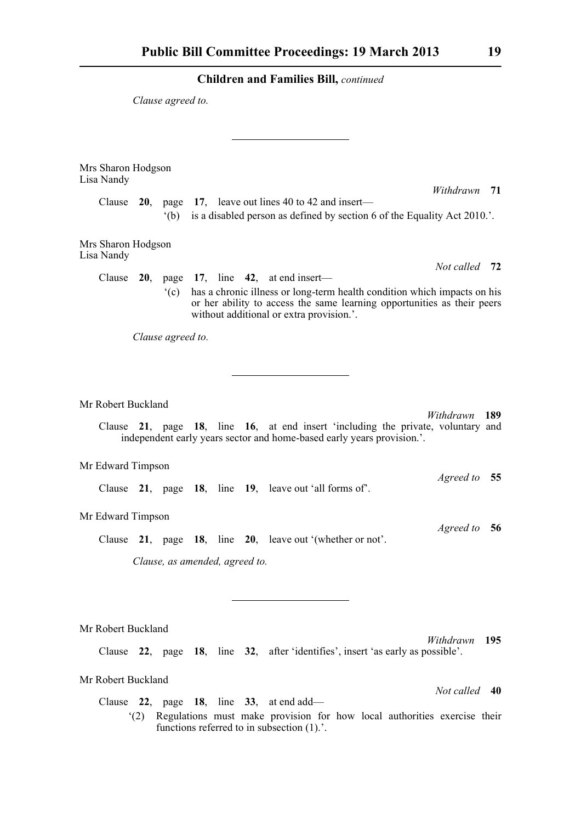*Clause agreed to.*

| Mrs Sharon Hodgson<br>Lisa Nandy       |                                                                                                                                                                                                 |  |
|----------------------------------------|-------------------------------------------------------------------------------------------------------------------------------------------------------------------------------------------------|--|
|                                        | Withdrawn 71                                                                                                                                                                                    |  |
| Clause<br><b>20.</b><br>$^{\circ}$ (b) | page 17, leave out lines 40 to 42 and insert—<br>is a disabled person as defined by section 6 of the Equality Act 2010.'.                                                                       |  |
|                                        |                                                                                                                                                                                                 |  |
| Mrs Sharon Hodgson<br>Lisa Nandy       |                                                                                                                                                                                                 |  |
| Clause $20$ ,                          | Not called 72<br>page 17, line 42, at end insert—                                                                                                                                               |  |
| $\degree$ (c)                          | has a chronic illness or long-term health condition which impacts on his<br>or her ability to access the same learning opportunities as their peers<br>without additional or extra provision.'. |  |
| Clause agreed to.                      |                                                                                                                                                                                                 |  |
|                                        |                                                                                                                                                                                                 |  |
|                                        |                                                                                                                                                                                                 |  |
|                                        |                                                                                                                                                                                                 |  |
| Mr Robert Buckland                     | Withdrawn<br>189                                                                                                                                                                                |  |
| Clause                                 | 21, page 18, line 16, at end insert 'including the private, voluntary and<br>independent early years sector and home-based early years provision.'.                                             |  |
| Mr Edward Timpson                      |                                                                                                                                                                                                 |  |
|                                        | <i>Agreed to</i><br>55<br>Clause 21, page 18, line 19, leave out 'all forms of'.                                                                                                                |  |
| Mr Edward Timpson                      |                                                                                                                                                                                                 |  |
|                                        | <i>Agreed to</i><br>56<br>Clause 21, page 18, line 20, leave out '(whether or not'.                                                                                                             |  |
|                                        | Clause, as amended, agreed to.                                                                                                                                                                  |  |
|                                        |                                                                                                                                                                                                 |  |
|                                        |                                                                                                                                                                                                 |  |
|                                        |                                                                                                                                                                                                 |  |
| Mr Robert Buckland                     |                                                                                                                                                                                                 |  |
|                                        | Withdrawn<br>195                                                                                                                                                                                |  |
|                                        | Clause 22, page 18, line 32, after 'identifies', insert 'as early as possible'.                                                                                                                 |  |
| Mr Robert Buckland                     |                                                                                                                                                                                                 |  |
|                                        | Not called<br>40                                                                                                                                                                                |  |
|                                        | Clause 22, page 18, line 33, at end add—                                                                                                                                                        |  |
| (2)                                    | Regulations must make provision for how local authorities exercise their<br>functions referred to in subsection $(1)$ .'.                                                                       |  |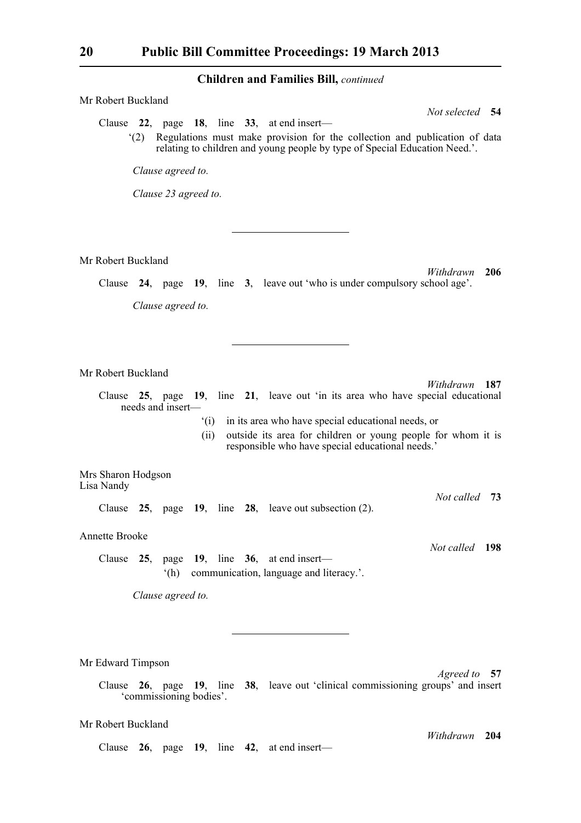| Mr Robert Buckland                                                                                                                                  |
|-----------------------------------------------------------------------------------------------------------------------------------------------------|
| Not selected 54<br>Clause 22, page 18, line 33, at end insert—<br>Regulations must make provision for the collection and publication of data<br>(2) |
| relating to children and young people by type of Special Education Need.'.                                                                          |
| Clause agreed to.                                                                                                                                   |
| Clause 23 agreed to.                                                                                                                                |
|                                                                                                                                                     |
|                                                                                                                                                     |
| Mr Robert Buckland                                                                                                                                  |
| 206<br>Withdrawn<br>Clause 24, page 19, line 3, leave out 'who is under compulsory school age'.                                                     |
|                                                                                                                                                     |
| Clause agreed to.                                                                                                                                   |
|                                                                                                                                                     |
|                                                                                                                                                     |
| Mr Robert Buckland<br>Withdrawn 187                                                                                                                 |
| 25, page 19, line 21, leave out 'in its area who have special educational<br>Clause<br>needs and insert-                                            |
| in its area who have special educational needs, or<br>$\degree$ (i)                                                                                 |
|                                                                                                                                                     |
| outside its area for children or young people for whom it is<br>(ii)                                                                                |
| responsible who have special educational needs.'                                                                                                    |
| Mrs Sharon Hodgson                                                                                                                                  |
| Lisa Nandy<br>Not called 73<br>Clause $25$ , page 19, line $28$ , leave out subsection (2).                                                         |
| <b>Annette Brooke</b>                                                                                                                               |
| Not called 198                                                                                                                                      |
| Clause $25$ , page 19, line 36, at end insert—<br>(h)<br>communication, language and literacy.'.                                                    |
| Clause agreed to.                                                                                                                                   |
|                                                                                                                                                     |
|                                                                                                                                                     |
|                                                                                                                                                     |
| Mr Edward Timpson<br>Agreed to 57                                                                                                                   |
| Clause 26, page 19, line 38, leave out 'clinical commissioning groups' and insert<br>'commissioning bodies'.                                        |

*Withdrawn* **204**

Clause **26**, page **19**, line **42**, at end insert—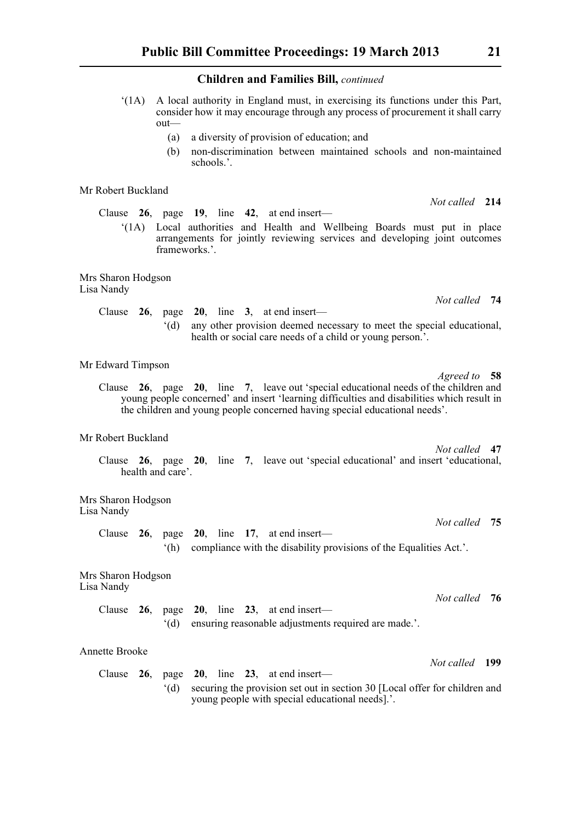'(1A) A local authority in England must, in exercising its functions under this Part, consider how it may encourage through any process of procurement it shall carry out—

- (a) a diversity of provision of education; and
- (b) non-discrimination between maintained schools and non-maintained schools.'.

Mr Robert Buckland

Clause **26**, page **19**, line **42**, at end insert—

'(1A) Local authorities and Health and Wellbeing Boards must put in place arrangements for jointly reviewing services and developing joint outcomes frameworks.'.

Mrs Sharon Hodgson Lisa Nandy

> Clause **26**, page **20**, line **3**, at end insert— '(d) any other provision deemed necessary to meet the special educational, health or social care needs of a child or young person.'.

### Mr Edward Timpson

*Agreed to* **58** Clause **26**, page **20**, line **7**, leave out 'special educational needs of the children and young people concerned' and insert 'learning difficulties and disabilities which result in the children and young people concerned having special educational needs'.

#### Mr Robert Buckland

*Not called* **47** Clause **26**, page **20**, line **7**, leave out 'special educational' and insert 'educational, health and care'.

Mrs Sharon Hodgson Lisa Nandy

> Clause **26**, page **20**, line **17**, at end insert— '(h) compliance with the disability provisions of the Equalities Act.'.

Mrs Sharon Hodgson Lisa Nandy

> *Not called* **76** Clause **26**, page **20**, line **23**, at end insert— '(d) ensuring reasonable adjustments required are made.'.

#### Annette Brooke

Clause **26**, page **20**, line **23**, at end insert— '(d) securing the provision set out in section 30 [Local offer for children and young people with special educational needs].'.

*Not called* **214**

*Not called* **75**

*Not called* **199**

*Not called* **74**